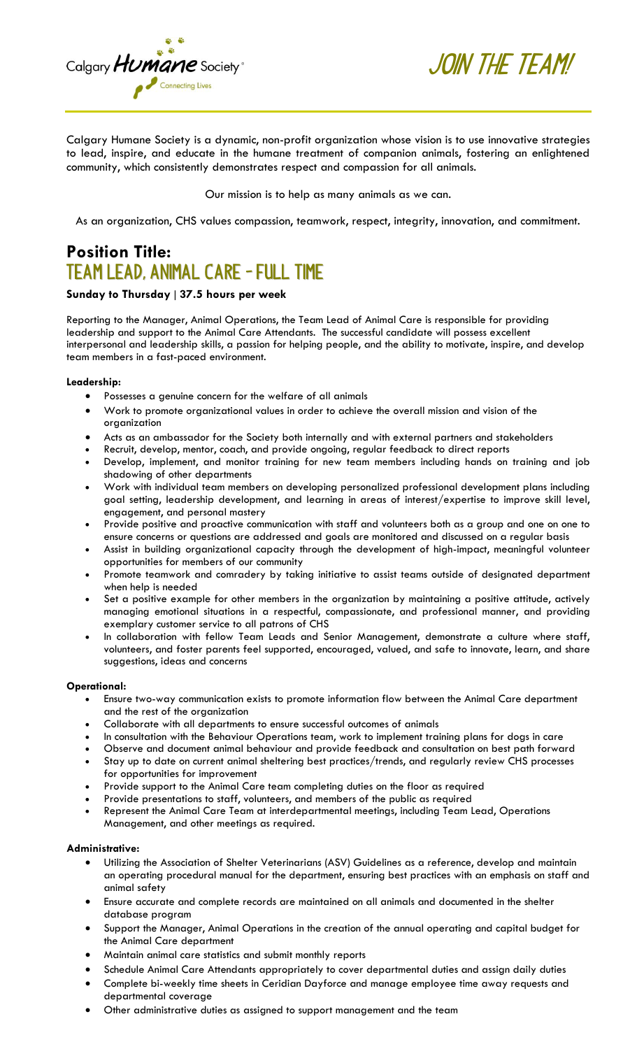

**Join the Team!**

Our mission is to help as many animals as we can.

As an organization, CHS values compassion, teamwork, respect, integrity, innovation, and commitment.

# **Position Title: Team Lead, Animal Care - Full Time**

# **Sunday to Thursday** | **37.5 hours per week**

Calgary **Humane** Society<sup>®</sup>

Connecting Lives

Reporting to the Manager, Animal Operations, the Team Lead of Animal Care is responsible for providing leadership and support to the Animal Care Attendants. The successful candidate will possess excellent interpersonal and leadership skills, a passion for helping people, and the ability to motivate, inspire, and develop team members in a fast-paced environment.

#### **Leadership:**

- Possesses a genuine concern for the welfare of all animals
- Work to promote organizational values in order to achieve the overall mission and vision of the organization
- Acts as an ambassador for the Society both internally and with external partners and stakeholders
- Recruit, develop, mentor, coach, and provide ongoing, regular feedback to direct reports
- Develop, implement, and monitor training for new team members including hands on training and job shadowing of other departments
- Work with individual team members on developing personalized professional development plans including goal setting, leadership development, and learning in areas of interest/expertise to improve skill level, engagement, and personal mastery
- Provide positive and proactive communication with staff and volunteers both as a group and one on one to ensure concerns or questions are addressed and goals are monitored and discussed on a regular basis
- Assist in building organizational capacity through the development of high-impact, meaningful volunteer opportunities for members of our community
- Promote teamwork and comradery by taking initiative to assist teams outside of designated department when help is needed
- Set a positive example for other members in the organization by maintaining a positive attitude, actively managing emotional situations in a respectful, compassionate, and professional manner, and providing exemplary customer service to all patrons of CHS
- In collaboration with fellow Team Leads and Senior Management, demonstrate a culture where staff, volunteers, and foster parents feel supported, encouraged, valued, and safe to innovate, learn, and share suggestions, ideas and concerns

## **Operational:**

- Ensure two-way communication exists to promote information flow between the Animal Care department and the rest of the organization
- Collaborate with all departments to ensure successful outcomes of animals
- In consultation with the Behaviour Operations team, work to implement training plans for dogs in care
- Observe and document animal behaviour and provide feedback and consultation on best path forward
- Stay up to date on current animal sheltering best practices/trends, and regularly review CHS processes for opportunities for improvement
- Provide support to the Animal Care team completing duties on the floor as required
- Provide presentations to staff, volunteers, and members of the public as required • Represent the Animal Care Team at interdepartmental meetings, including Team Lead, Operations
- Management, and other meetings as required.

## **Administrative:**

- Utilizing the Association of Shelter Veterinarians (ASV) Guidelines as a reference, develop and maintain an operating procedural manual for the department, ensuring best practices with an emphasis on staff and animal safety
- Ensure accurate and complete records are maintained on all animals and documented in the shelter database program
- Support the Manager, Animal Operations in the creation of the annual operating and capital budget for the Animal Care department
- Maintain animal care statistics and submit monthly reports
- Schedule Animal Care Attendants appropriately to cover departmental duties and assign daily duties
- Complete bi-weekly time sheets in Ceridian Dayforce and manage employee time away requests and departmental coverage
- Other administrative duties as assigned to support management and the team